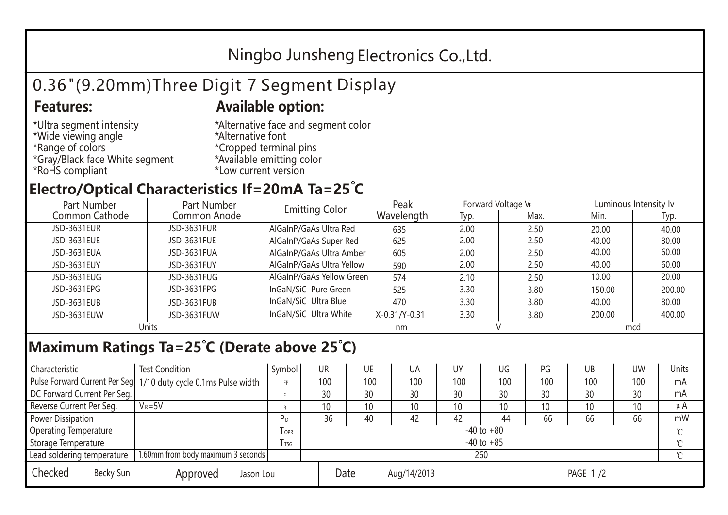## Ningbo Junsheng Electronics Co.,Ltd.

# 0.36"(9.20mm)Three Digit 7 Segment Display

#### **Features: Available option:**

- \*Ultra segment intensity \*Wide viewing angle \*Range of colors \*Gray/Black face White segment \*RoHS compliant
- \*Alternative face and segment color \*Alternative font \*Cropped terminal pins \*Available emitting color \*Low current version

### **Electro/Optical Characteristics If=20mA Ta=25 C**

| Part Number<br>Part Number |              | <b>Emitting Color</b>     | Peak          | Forward Voltage VF |      | Luminous Intensity Iv |        |  |
|----------------------------|--------------|---------------------------|---------------|--------------------|------|-----------------------|--------|--|
| Common Cathode             | Common Anode |                           | Wavelength    | Typ.               | Max. | Min.                  | Typ.   |  |
| JSD-3631EUR                | JSD-3631FUR  | AlGaInP/GaAs Ultra Red    | 635           | 2.00               | 2.50 | 20.00                 | 40.00  |  |
| JSD-3631EUE                | JSD-3631FUE  | AlGaInP/GaAs Super Red    | 625           | 2.00               | 2.50 | 40.00                 | 80.00  |  |
| JSD-3631EUA                | JSD-3631FUA  | AlGaInP/GaAs Ultra Amber  | 605           | 2.00               | 2.50 | 40.00                 | 60.00  |  |
| JSD-3631EUY                | JSD-3631FUY  | AlGaInP/GaAs Ultra Yellow | 590           | 2.00               | 2.50 | 40.00                 | 60.00  |  |
| JSD-3631EUG                | JSD-3631FUG  | AlGaInP/GaAs Yellow Green | 574           | 2.10               | 2.50 | 10.00                 | 20.00  |  |
| JSD-3631EPG                | JSD-3631FPG  | InGaN/SiC Pure Green      | 525           | 3.30               | 3.80 | 150.00                | 200.00 |  |
| JSD-3631EUB                | JSD-3631FUB  | InGaN/SiC Ultra Blue      | 470           | 3.30               | 3.80 | 40.00                 | 80.00  |  |
| JSD-3631EUW                | JSD-3631FUW  | InGaN/SiC Ultra White     | X-0.31/Y-0.31 | 3.30               | 3.80 | 200.00                | 400.00 |  |
| Units                      |              |                           | nm            |                    |      | mcd                   |        |  |

### **Maximum Ratings Ta=25°C (Derate above 25°C)**

| Characteristic                                |  | <b>Test Condition</b>                                           |                         |                     | Symbol | <b>UR</b> |  | UE       | UA              | UY  | UG  | PG  | UB       | <b>UW</b> | <b>Units</b> |
|-----------------------------------------------|--|-----------------------------------------------------------------|-------------------------|---------------------|--------|-----------|--|----------|-----------------|-----|-----|-----|----------|-----------|--------------|
|                                               |  | Pulse Forward Current Per Seg 1/10 duty cycle 0.1ms Pulse width |                         |                     | I FP   | 100       |  | 100      | 100             | 100 | 100 | 100 | 100      | 100       | mA           |
| DC Forward Current Per Seg.                   |  |                                                                 |                         |                     |        | 30        |  | 30       | 30              | 30  | 30  | 30  | 30       | 30        | mA           |
| Reverse Current Per Seg.                      |  | $V_R = 5V$                                                      |                         |                     | l R    | 10        |  | 10       | 10 <sup>°</sup> | 10  | 10  | 10  | 10       | 10        | $\mu$ A      |
| <b>Power Dissipation</b>                      |  |                                                                 |                         |                     | РD     | 36        |  | 40       | 42              | 42  | 44  | 66  | 66       | 66        | mW           |
| <b>Operating Temperature</b>                  |  |                                                                 | <b>TOPR</b>             | $-40$ to $+80$      |        |           |  |          |                 |     |     |     | $\gamma$ |           |              |
| Storage Temperature                           |  |                                                                 | <b>T</b> <sub>rsg</sub> | $-40$ to $+85$      |        |           |  |          |                 |     |     |     | °C       |           |              |
| Lead soldering temperature                    |  | 1.60mm from body maximum 3 seconds                              |                         |                     |        | 260<br>≧  |  |          |                 |     |     |     |          |           |              |
| Checked<br>Becky Sun<br>Approved<br>Jason Lou |  |                                                                 |                         | Date<br>Aug/14/2013 |        |           |  | PAGE 1/2 |                 |     |     |     |          |           |              |